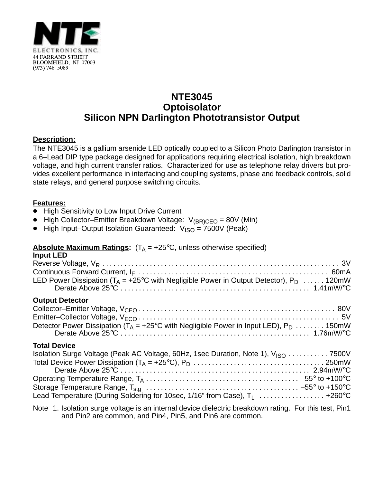

# **NTE3045 Optoisolator Silicon NPN Darlington Phototransistor Output**

# **Description:**

The NTE3045 is a gallium arsenide LED optically coupled to a Silicon Photo Darlington transistor in a 6–Lead DIP type package designed for applications requiring electrical isolation, high breakdown voltage, and high current transfer ratios. Characterized for use as telephone relay drivers but provides excellent performance in interfacing and coupling systems, phase and feedback controls, solid state relays, and general purpose switching circuits.

### **Features:**

- -<br>• High Sensitivity to Low Input Drive Current
- High Collector–Emitter Breakdown Voltage:  $V_{(BR)CEO} = 80V$  (Min)<br>■ High Input–Output Isolation Guaranteed:  $V_{(BC)} = 7500V$  (Peak)
- High Input–Output Isolation Guaranteed:  $V_{\text{ISO}} = 7500V$  (Peak)

#### **Absolute Maximum Ratings:**  $(T_A = +25^{\circ}C,$  unless otherwise specified) **Input LED**

| …wu. ___<br>LED Power Dissipation ( $T_A$ = +25°C with Negligible Power in Output Detector), P <sub>D</sub> 120mW                                                                                     |
|-------------------------------------------------------------------------------------------------------------------------------------------------------------------------------------------------------|
| <b>Output Detector</b><br>Detector Power Dissipation ( $T_A$ = +25°C with Negligible Power in Input LED), P <sub>D</sub> 150mW                                                                        |
| <b>Total Device</b><br>Isolation Surge Voltage (Peak AC Voltage, 60Hz, 1sec Duration, Note 1), V <sub>ISO</sub> 7500V<br>Lead Temperature (During Soldering for 10sec, 1/16" from Case), $T_1$ +260°C |

Note 1. Isolation surge voltage is an internal device dielectric breakdown rating. For this test, Pin1 and Pin2 are common, and Pin4, Pin5, and Pin6 are common.